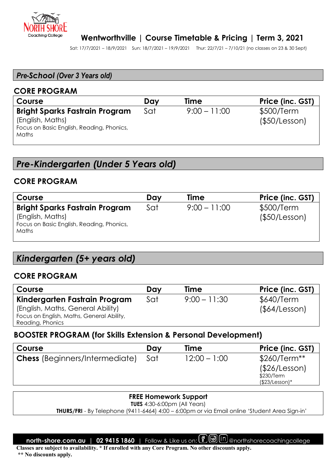

### **Wentworthville | Course Timetable & Pricing | Term 3, 2021**

Sat: 17/7/2021 – 18/9/2021 Sun: 18/7/2021 – 19/9/2021 Thur: 22/7/21 – 7/10/21 (no classes on 23 & 30 Sept)

#### *Pre-School (Over 3 Years old)*

#### **CORE PROGRAM**

| Course                                                                                                          | Day | Time           | Price (inc. GST)            |
|-----------------------------------------------------------------------------------------------------------------|-----|----------------|-----------------------------|
| <b>Bright Sparks Fastrain Program</b><br>(English, Maths)<br>Focus on Basic English, Reading, Phonics,<br>Maths | Sat | $9:00 - 11:00$ | \$500/Term<br>(\$50/Lesson) |
|                                                                                                                 |     |                |                             |

# *Pre-Kindergarten (Under 5 Years old)*

#### **CORE PROGRAM**

| Course                                                                                                                 | Day | <b>Time</b>    | Price (inc. GST)            |
|------------------------------------------------------------------------------------------------------------------------|-----|----------------|-----------------------------|
| <b>Bright Sparks Fastrain Program</b><br>(English, Maths)<br>Focus on Basic English, Reading, Phonics,<br><b>Maths</b> | Sat | $9:00 - 11:00$ | \$500/Term<br>(\$50/Lesson) |

# *Kindergarten (5+ years old)*

#### **CORE PROGRAM**

| Course                                    | Day | <b>Time</b>    | Price (inc. GST) |
|-------------------------------------------|-----|----------------|------------------|
| Kindergarten Fastrain Program             | Sat | $9:00 - 11:30$ | \$640/Term       |
| (English, Maths, General Ability)         |     |                | (§64/Lesson)     |
| Focus on English, Maths, General Ability, |     |                |                  |
| Reading, Phonics                          |     |                |                  |

#### **BOOSTER PROGRAM (for Skills Extension & Personal Development)**

| <b>Course</b>                         | Day | Time           | Price (inc. GST)               |
|---------------------------------------|-----|----------------|--------------------------------|
| <b>Chess</b> (Beginners/Intermediate) | Sat | $12:00 - 1:00$ | $$260/Term**$<br>(\$26/Lesson) |
|                                       |     |                | \$230/Term<br>$($23/Lesson)*$  |

#### **FREE Homework Support**

**TUES** 4:30-6:00pm (All Years)

 **THURS/FRI** - By Telephone (9411-6464) 4:00 – 6:00pm or via Email online 'Student Area Sign-in'

**north-shore.com.au | 02 9415 1860** | Follow & Like us on: **@** @ (n) @northshorecoachingcollege

**Classes are subject to availability. \* If enrolled with any Core Program. No other discounts apply.** 

 **\*\* No discounts apply.**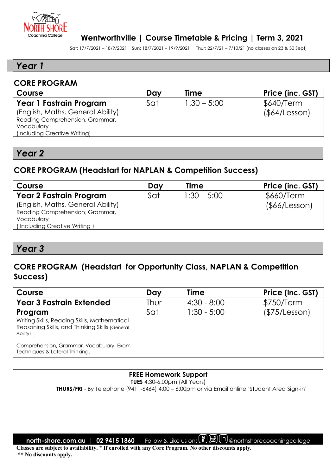

#### **Wentworthville | Course Timetable & Pricing | Term 3, 2021**

Sat: 17/7/2021 – 18/9/2021 Sun: 18/7/2021 – 19/9/2021 Thur: 22/7/21 – 7/10/21 (no classes on 23 & 30 Sept)

### *Year 1*

#### **CORE PROGRAM**

| Course                            | Day | Time          | Price (inc. GST) |
|-----------------------------------|-----|---------------|------------------|
| Year 1 Fastrain Program           | Sat | $1:30 - 5:00$ | \$640/Term       |
| (English, Maths, General Ability) |     |               | (§64/Lesson)     |
| Reading Comprehension, Grammar,   |     |               |                  |
| Vocabulary                        |     |               |                  |
| (Including Creative Writing)      |     |               |                  |
|                                   |     |               |                  |

### *Year 2*

#### **CORE PROGRAM (Headstart for NAPLAN & Competition Success)**

| Course                            | Day | <b>Time</b>   | Price (inc. GST) |
|-----------------------------------|-----|---------------|------------------|
| <b>Year 2 Fastrain Program</b>    | Sat | $1:30 - 5:00$ | \$660/Term       |
| (English, Maths, General Ability) |     |               | (\$66/Lesson)    |
| Reading Comprehension, Grammar,   |     |               |                  |
| Vocabulary                        |     |               |                  |
| (Including Creative Writing)      |     |               |                  |

## *Year 3*

# **CORE PROGRAM (Headstart for Opportunity Class, NAPLAN & Competition Success)**

| Course                                                                                                                | Day  | <b>Time</b>   | Price (inc. GST) |
|-----------------------------------------------------------------------------------------------------------------------|------|---------------|------------------|
| <b>Year 3 Fastrain Extended</b>                                                                                       | Thur | $4:30 - 8:00$ | \$750/Term       |
| Program<br>Writing Skills, Reading Skills, Mathematical<br>Reasoning Skills, and Thinking Skills (General<br>Ability) | Sat  | $1:30 - 5:00$ | (\$75/Lesson)    |
| Comprehension, Grammar, Vocabulary, Exam<br>Techniques & Lateral Thinking.                                            |      |               |                  |

### **FREE Homework Support**

**TUES** 4:30-6:00pm (All Years)  **THURS/FRI** - By Telephone (9411-6464) 4:00 – 6:00pm or via Email online 'Student Area Sign-in'

**north-shore.com.au | 02 9415 1860** | Follow & Like us on: **(f)** @ (in) @northshorecoachingcollege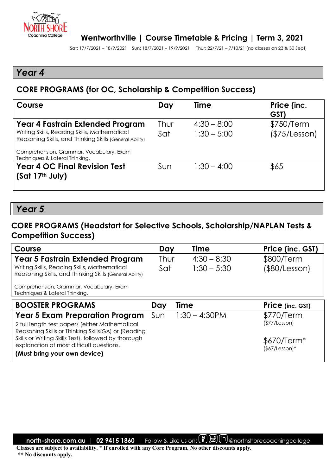

Sat: 17/7/2021 – 18/9/2021 Sun: 18/7/2021 – 19/9/2021 Thur: 22/7/21 – 7/10/21 (no classes on 23 & 30 Sept)

# *Year 4*

# **CORE PROGRAMS (for OC, Scholarship & Competition Success)**

| Course                                                                                                  | Day  | <b>Time</b>   | Price (inc.<br>GST) |
|---------------------------------------------------------------------------------------------------------|------|---------------|---------------------|
| <b>Year 4 Fastrain Extended Program</b>                                                                 | Thur | $4:30 - 8:00$ | \$750/Term          |
| Writing Skills, Reading Skills, Mathematical<br>Reasoning Skills, and Thinking Skills (General Ability) | Sat  | $1:30 - 5:00$ | (\$75/Lesson)       |
| Comprehension, Grammar, Vocabulary, Exam<br>Techniques & Lateral Thinking.                              |      |               |                     |
| <b>Year 4 OC Final Revision Test</b>                                                                    | Sun  | $1:30 - 4:00$ | \$65                |
| (Sat 17 <sup>th</sup> July)                                                                             |      |               |                     |

### *Year 5*

# **CORE PROGRAMS (Headstart for Selective Schools, Scholarship/NAPLAN Tests & Competition Success)**

| Course                                                                                                                                                                                                     | Day         | <b>Time</b>                    | Price (inc. GST)                                |
|------------------------------------------------------------------------------------------------------------------------------------------------------------------------------------------------------------|-------------|--------------------------------|-------------------------------------------------|
| Year 5 Fastrain Extended Program<br>Writing Skills, Reading Skills, Mathematical<br>Reasoning Skills, and Thinking Skills (General Ability)                                                                | Thur<br>Sat | $4:30 - 8:30$<br>$1:30 - 5:30$ | \$800/Term<br>(\$80/Lesson)                     |
| Comprehension, Grammar, Vocabulary, Exam<br>Techniques & Lateral Thinking.                                                                                                                                 |             |                                |                                                 |
| <b>BOOSTER PROGRAMS</b>                                                                                                                                                                                    | Day         | Time                           | Price (inc. GST)                                |
|                                                                                                                                                                                                            |             |                                |                                                 |
| <b>Year 5 Exam Preparation Program</b>                                                                                                                                                                     | Sun         | $1:30 - 4:30$ PM               | \$770/Term                                      |
| 2 full length test papers (either Mathematical<br>Reasoning Skills or Thinking Skills (GA) or (Reading<br>Skills or Writing Skills Test), followed by thorough<br>explanation of most difficult questions. |             |                                | (\$77/Lesson)<br>$$670/Term*$<br>$($7/Lesson)*$ |

**north-shore.com.au | 02 9415 1860** | Follow & Like us on: **(f)** @ (in) @northshorecoachingcollege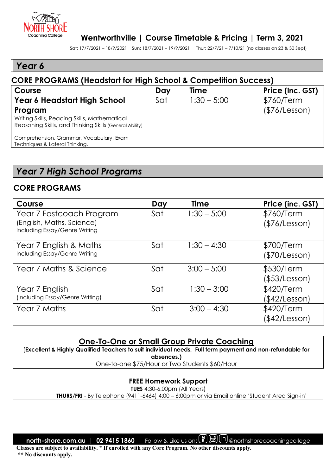

Sat: 17/7/2021 – 18/9/2021 Sun: 18/7/2021 – 19/9/2021 Thur: 22/7/21 – 7/10/21 (no classes on 23 & 30 Sept)

# *Year 6*

# **CORE PROGRAMS (Headstart for High School & Competition Success) Course Day Time Price (inc. GST)**

| <b>PE IDOW</b>                                                                                                     | <b>DUY</b> | 71115         | 1105110.9011  |
|--------------------------------------------------------------------------------------------------------------------|------------|---------------|---------------|
| Year 6 Headstart High School                                                                                       | Sat        | $1:30 - 5:00$ | \$760/Term    |
| Program<br>Writing Skills, Reading Skills, Mathematical<br>Reasoning Skills, and Thinking Skills (General Ability) |            |               | (\$76/Lesson) |
| Comprehension, Grammar, Vocabulary, Exam<br>Techniques & Lateral Thinking.                                         |            |               |               |

# *Year 7 High School Programs*

## **CORE PROGRAMS**

| Course                                                                                 | Day | <b>Time</b>   | Price (inc. GST)            |
|----------------------------------------------------------------------------------------|-----|---------------|-----------------------------|
| Year 7 Fastcoach Program<br>(English, Maths, Science)<br>Including Essay/Genre Writing | Sat | $1:30 - 5:00$ | \$760/Term<br>(\$76/Lesson) |
| Year 7 English & Maths<br>Including Essay/Genre Writing                                | Sat | $1:30 - 4:30$ | \$700/Term<br>(\$70/Lesson) |
| Year 7 Maths & Science                                                                 | Sat | $3:00 - 5:00$ | \$530/Term<br>(\$53/Lesson) |
| Year 7 English<br>(Including Essay/Genre Writing)                                      | Sat | $1:30 - 3:00$ | \$420/Term<br>(\$42/Lesson) |
| Year 7 Maths                                                                           | Sat | $3:00 - 4:30$ | \$420/Term<br>(\$42/Lesson) |

#### **One-To-One or Small Group Private Coaching**

(**Excellent & Highly Qualified Teachers to suit individual needs. Full term payment and non-refundable for** 

**absences.)**

One-to-one \$75/Hour or Two Students \$60/Hour

#### **FREE Homework Support**

**TUES** 4:30-6:00pm (All Years)

 **THURS/FRI** - By Telephone (9411-6464) 4:00 – 6:00pm or via Email online 'Student Area Sign-in'

**north-shore.com.au | 02 9415 1860** | Follow & Like us on: **(f)** @ (in) @northshorecoachingcollege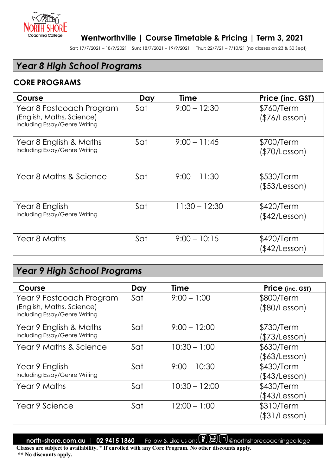

Sat: 17/7/2021 – 18/9/2021 Sun: 18/7/2021 – 19/9/2021 Thur: 22/7/21 – 7/10/21 (no classes on 23 & 30 Sept)

# *Year 8 High School Programs*

# **CORE PROGRAMS**

| Course                                                                                 | Day | Time            | Price (inc. GST)            |
|----------------------------------------------------------------------------------------|-----|-----------------|-----------------------------|
| Year 8 Fastcoach Program<br>(English, Maths, Science)<br>Including Essay/Genre Writing | Sat | $9:00 - 12:30$  | \$760/Term<br>(S76/Lesson)  |
| Year 8 English & Maths<br>Including Essay/Genre Writing                                | Sat | $9:00 - 11:45$  | \$700/Term<br>(\$70/Lesson) |
| Year 8 Maths & Science                                                                 | Sat | $9:00 - 11:30$  | \$530/Term<br>(\$53/Lesson) |
| Year 8 English<br>Including Essay/Genre Writing                                        | Sat | $11:30 - 12:30$ | \$420/Term<br>(\$42/Lesson) |
| Year 8 Maths                                                                           | Sat | $9:00 - 10:15$  | \$420/Term<br>(\$42/Lesson) |

# *Year 9 High School Programs*

| Course                                                     | Day                    | Time           | Price (inc. GST) |
|------------------------------------------------------------|------------------------|----------------|------------------|
| Year 9 Fastcoach Program                                   | Sat                    | $9:00 - 1:00$  | \$800/Term       |
| (English, Maths, Science)<br>Including Essay/Genre Writing |                        |                | (\$80/Lesson)    |
| Year 9 English & Maths                                     | Sat                    | $9:00 - 12:00$ | \$730/Term       |
| Including Essay/Genre Writing                              |                        |                | (\$73/Lesson)    |
| Year 9 Maths & Science                                     | Sat                    | $10:30 - 1:00$ | \$630/Term       |
|                                                            |                        |                | (\$63/Lesson)    |
| Year 9 English                                             | Sat                    | $9:00 - 10:30$ | \$430/Term       |
| Including Essay/Genre Writing                              |                        |                | (\$43/Lesson)    |
| Year 9 Maths                                               | $10:30 - 12:00$<br>Sat | \$430/Term     |                  |
|                                                            |                        |                | (\$43/Lesson)    |
| Year 9 Science                                             | Sat                    | $12:00 - 1:00$ | \$310/Term       |
|                                                            |                        |                | (\$31/Lesson)    |

**north-shore.com.au** | 02 9415 1860 | Follow & Like us on: **@** @ (n) @northshorecoachingcollege